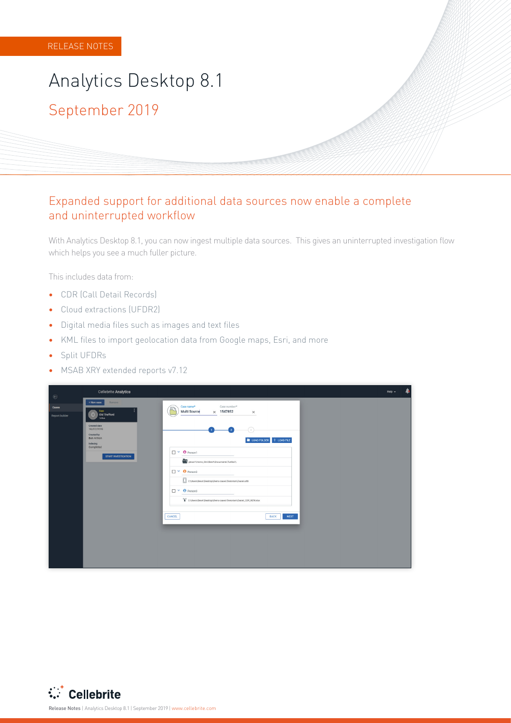# Analytics Desktop 8.1 2019 September

#### Expanded support for additional data sources now enable a complete and uninterrupted workflow

With Analytics Desktop 8.1, you can now ingest multiple data sources. This gives an uninterrupted investigation flow which helps you see a much fuller picture.

This includes data from:

- **•** CDR (Call Detail Records)
- Cloud extractions (UFDR2)
- **•** Digital media files such as images and text files
- **•** KML files to import geolocation data from Google maps, Esri, and more
- Split UFDRs
- MSAB XRY extended reports v7.12

|                                                         | <b>Cellebrite Analytics</b>                                                                                                                                                |                                                                                                                                                                                                                                                                                                                                                                                             | Help $\sim$ |  |
|---------------------------------------------------------|----------------------------------------------------------------------------------------------------------------------------------------------------------------------------|---------------------------------------------------------------------------------------------------------------------------------------------------------------------------------------------------------------------------------------------------------------------------------------------------------------------------------------------------------------------------------------------|-------------|--|
| $\boldsymbol{\Theta}$<br>Cases<br><b>Report builder</b> | + New case<br>Remove<br>Case<br>Old Trafford<br>o<br>12455<br>Created date<br>18/07/2019<br>Created by<br>Ben Armon<br>Indexing<br>Completed<br><b>START INVESTIGATION</b> | Case number*<br>Case name*<br>Œρ<br>Multi Source<br>$\times$ 1547852<br>$\times$<br>$\bullet$ LOAD FOLDER $+$ LOAD FILE<br>$\Box$ $\vee$ <b>0</b> Person1<br>ptnss1\/-lome_Dirs\BenA\Documents\Turtles\\<br>$\Box$ $\vee$ <b>0</b> Person2<br>C:\Users\BenA\Desktop\Demo cases\Terrorism\Daniel.ufdr<br>D Y O Person3<br>byd C:\Users\BenA\Desktop\Demo cases\Terrorism\Daniel_CDR_NEW.xlsx |             |  |
|                                                         |                                                                                                                                                                            | CANCEL<br><b>BACK</b><br><b>NEXT</b>                                                                                                                                                                                                                                                                                                                                                        |             |  |



ReleaseNotes | Analytics Desktop 8.1 | September 2019 | www.cellebrite.com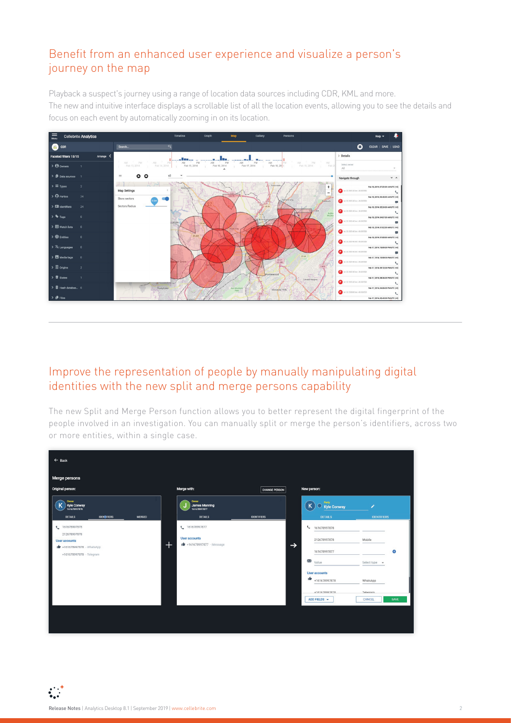### Benefit from an enhanced user experience and visualize a person's journey on the map

Playback a suspect's journey using a range of location data sources including CDR, KML and more. The new and intuitive interface displays a scrollable list of all the location events, allowing you to see the details and focus on each event by automatically zooming in on its location.



#### Improve the representation of people by manually manipulating digital identities with the new split and merge persons capability

The new Split and Merge Person function allows you to better represent the digital fingerprint of the people involved in an investigation. You can manually split or merge the person's identifiers, across two or more entities, within a single case.